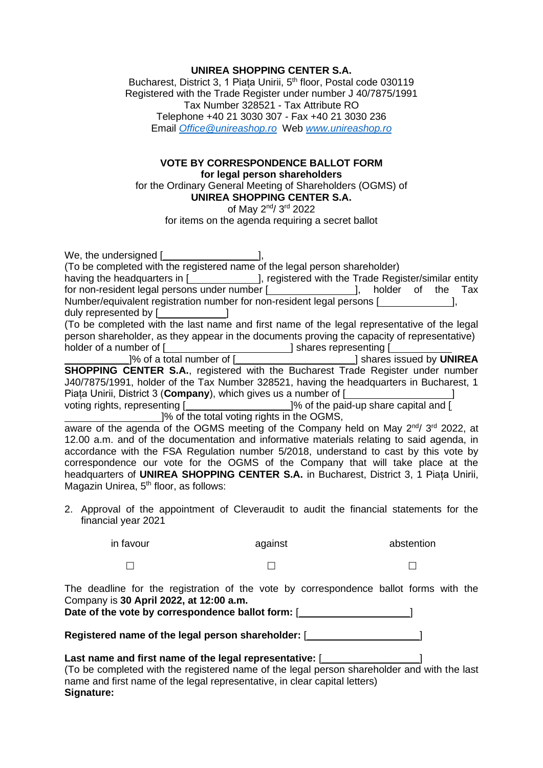## **UNIREA SHOPPING CENTER S.A.**

Bucharest, District 3, 1 Piața Unirii, 5<sup>th</sup> floor, Postal code 030119 Registered with the Trade Register under number J 40/7875/1991 Tax Number 328521 - Tax Attribute RO Telephone +40 21 3030 307 - Fax +40 21 3030 236 Email *[Office@unireashop.ro](mailto:Office@unireashop.ro)* Web *[www.unireashop.ro](http://www.unireashop.ro/)*

## **VOTE BY CORRESPONDENCE BALLOT FORM for legal person shareholders**

for the Ordinary General Meeting of Shareholders (OGMS) of **UNIREA SHOPPING CENTER S.A.**

of May 2<sup>nd</sup>/ 3<sup>rd</sup> 2022

for items on the agenda requiring a secret ballot

|                                                                                             | We, the undersigned [ $\frac{1}{2}$ ], $\frac{1}{2}$ (To be completed with the registered name of the legal person shareholder) |                                                                                                                                                                                                                                      |            |  |  |
|---------------------------------------------------------------------------------------------|---------------------------------------------------------------------------------------------------------------------------------|--------------------------------------------------------------------------------------------------------------------------------------------------------------------------------------------------------------------------------------|------------|--|--|
|                                                                                             | having the headquarters in [ <b>wire also now registered</b> with the Trade Register/similar entity                             |                                                                                                                                                                                                                                      |            |  |  |
|                                                                                             | for non-resident legal persons under number [ <i>_________________</i> ], holder of the Tax                                     |                                                                                                                                                                                                                                      |            |  |  |
| Number/equivalent registration number for non-resident legal persons [                      |                                                                                                                                 |                                                                                                                                                                                                                                      |            |  |  |
|                                                                                             | duly represented by [ The control of the control of the control of the control of the control of the control o                  |                                                                                                                                                                                                                                      |            |  |  |
|                                                                                             |                                                                                                                                 | (To be completed with the last name and first name of the legal representative of the legal                                                                                                                                          |            |  |  |
| person shareholder, as they appear in the documents proving the capacity of representative) |                                                                                                                                 |                                                                                                                                                                                                                                      |            |  |  |
|                                                                                             |                                                                                                                                 | holder of a number of [ <i>________________________</i> ] shares representing [ <i>____________</i>                                                                                                                                  |            |  |  |
|                                                                                             |                                                                                                                                 | 1% of a total number of [ <b>Wilder</b> 2013 and a shares issued by <b>UNIREA</b>                                                                                                                                                    |            |  |  |
| <b>SHOPPING CENTER S.A., registered with the Bucharest Trade Register under number</b>      |                                                                                                                                 |                                                                                                                                                                                                                                      |            |  |  |
| J40/7875/1991, holder of the Tax Number 328521, having the headquarters in Bucharest, 1     |                                                                                                                                 |                                                                                                                                                                                                                                      |            |  |  |
|                                                                                             |                                                                                                                                 | Piata Unirii, District 3 (Company), which gives us a number of [ <b>wildler</b> 1 and 1 and 1 and 1 and 1 and 1 and 1 and 1 and 1 and 1 and 1 and 1 and 1 and 1 and 1 and 1 and 1 and 1 and 1 and 1 and 1 and 1 and 1 and 1 and 1 an |            |  |  |
|                                                                                             |                                                                                                                                 | voting rights, representing [ <i>_________________</i> _______]% of the paid-up share capital and [                                                                                                                                  |            |  |  |
|                                                                                             |                                                                                                                                 | ]% of the total voting rights in the OGMS,                                                                                                                                                                                           |            |  |  |
|                                                                                             |                                                                                                                                 | aware of the agenda of the OGMS meeting of the Company held on May 2 <sup>nd</sup> /3 <sup>rd</sup> 2022, at                                                                                                                         |            |  |  |
| 12.00 a.m. and of the documentation and informative materials relating to said agenda, in   |                                                                                                                                 |                                                                                                                                                                                                                                      |            |  |  |
| accordance with the FSA Regulation number 5/2018, understand to cast by this vote by        |                                                                                                                                 |                                                                                                                                                                                                                                      |            |  |  |
|                                                                                             | correspondence our vote for the OGMS of the Company that will take place at the                                                 |                                                                                                                                                                                                                                      |            |  |  |
| headquarters of UNIREA SHOPPING CENTER S.A. in Bucharest, District 3, 1 Piata Unirii,       |                                                                                                                                 |                                                                                                                                                                                                                                      |            |  |  |
|                                                                                             | Magazin Unirea, 5 <sup>th</sup> floor, as follows:                                                                              |                                                                                                                                                                                                                                      |            |  |  |
|                                                                                             |                                                                                                                                 |                                                                                                                                                                                                                                      |            |  |  |
|                                                                                             |                                                                                                                                 | 2. Approval of the appointment of Cleveraudit to audit the financial statements for the                                                                                                                                              |            |  |  |
|                                                                                             | financial year 2021                                                                                                             |                                                                                                                                                                                                                                      |            |  |  |
|                                                                                             |                                                                                                                                 |                                                                                                                                                                                                                                      |            |  |  |
|                                                                                             | in favour                                                                                                                       | against                                                                                                                                                                                                                              | abstention |  |  |

 $\Box$  and  $\Box$  and  $\Box$  and  $\Box$  and  $\Box$  and  $\Box$  and  $\Box$  and  $\Box$  and  $\Box$  and  $\Box$ 

The deadline for the registration of the vote by correspondence ballot forms with the Company is **30 April 2022, at 12:00 a.m. Date of the vote by correspondence ballot form:** [ ]

Registered name of the legal person shareholder: [*wickeling* [*wickeling comparement*]

## Last name and first name of the legal representative: [*wicklerenden* **last 1** (To be completed with the registered name of the legal person shareholder and with the last name and first name of the legal representative, in clear capital letters) **Signature:**